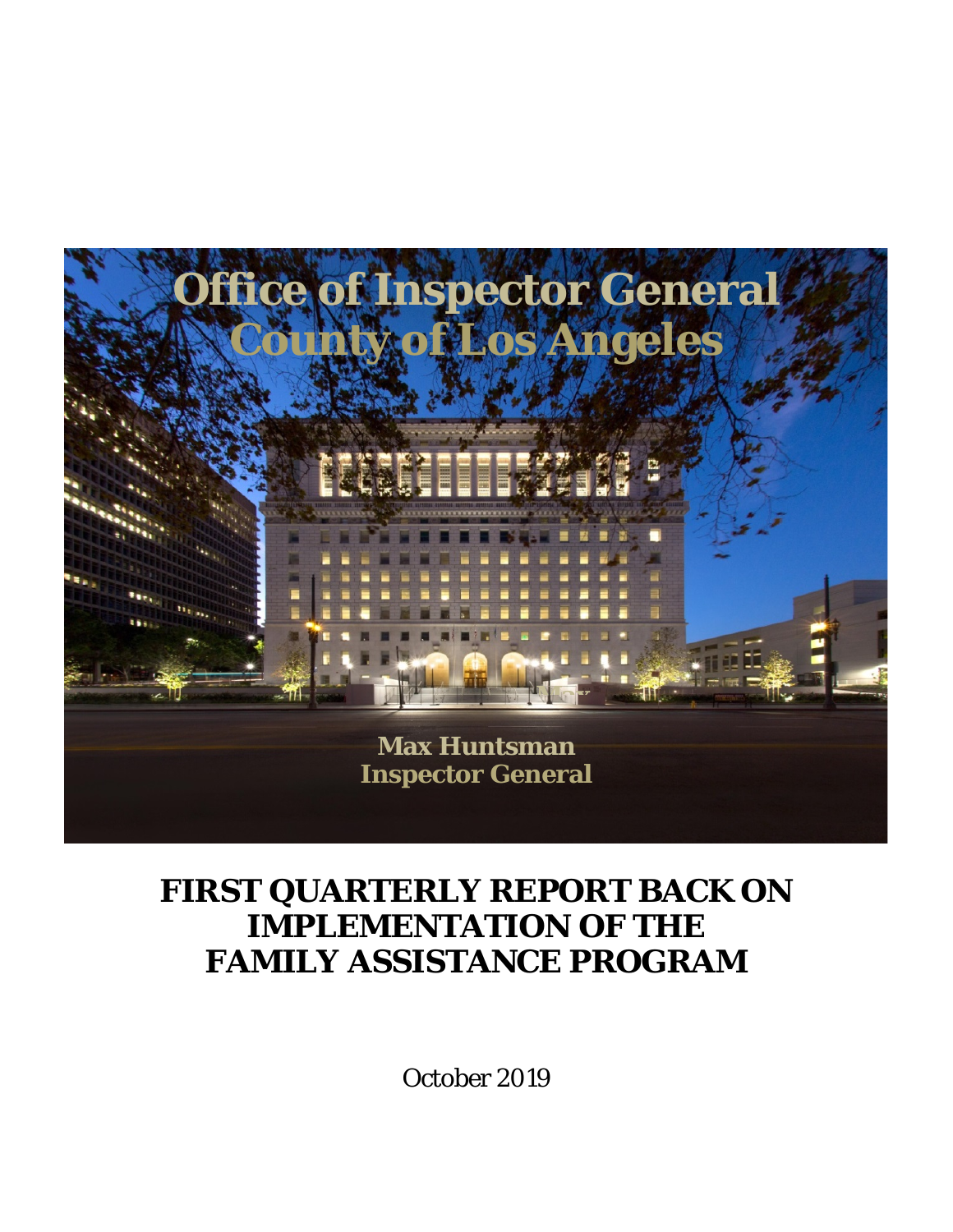

## **FIRST QUARTERLY REPORT BACK ON IMPLEMENTATION OF THE FAMILY ASSISTANCE PROGRAM**

October 2019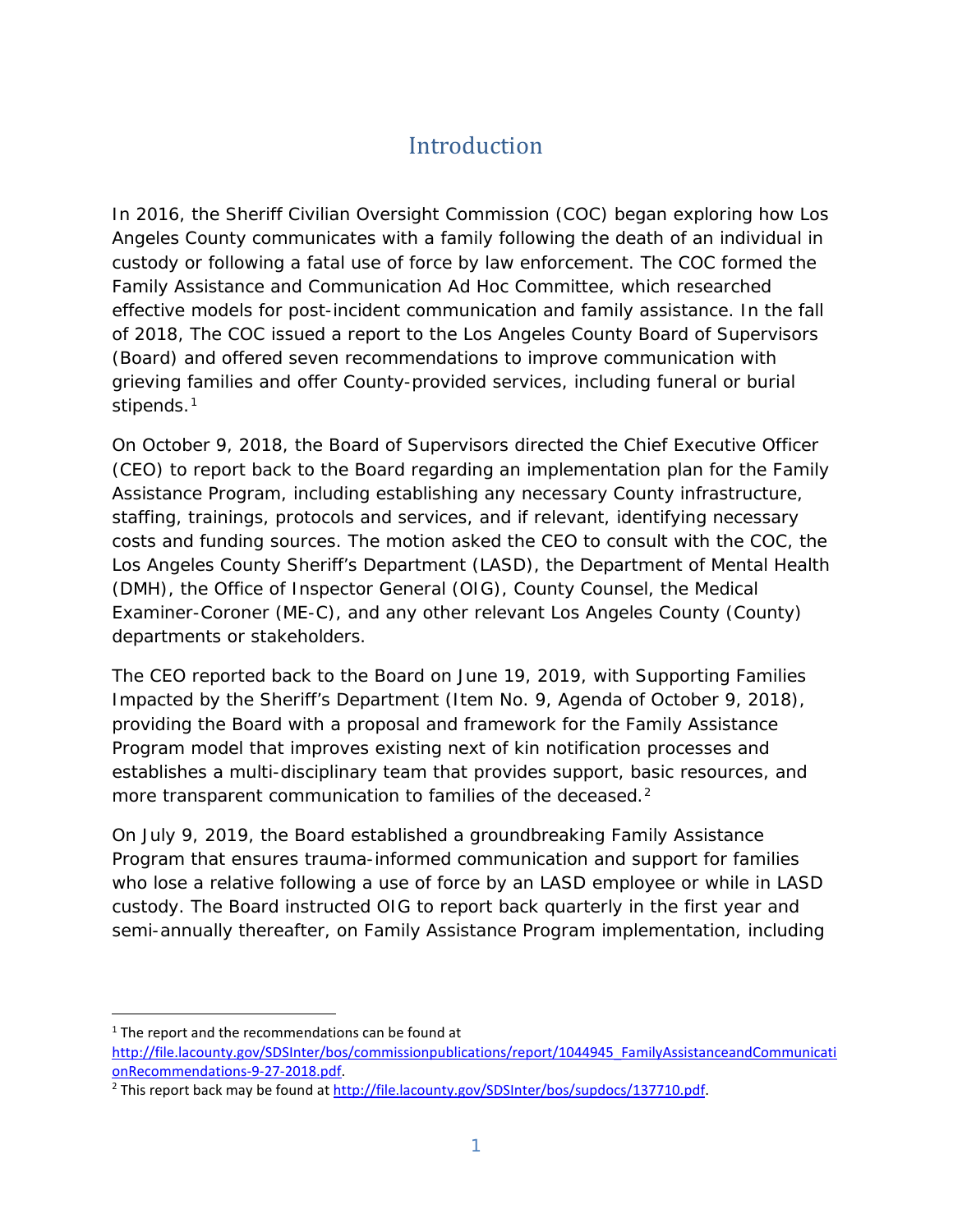## **Introduction**

In 2016, the Sheriff Civilian Oversight Commission (COC) began exploring how Los Angeles County communicates with a family following the death of an individual in custody or following a fatal use of force by law enforcement. The COC formed the Family Assistance and Communication Ad Hoc Committee, which researched effective models for post-incident communication and family assistance. In the fall of 2018, The COC issued a report to the Los Angeles County Board of Supervisors (Board) and offered seven recommendations to improve communication with grieving families and offer County-provided services, including funeral or burial stipends.<sup>[1](#page-1-0)</sup>

On October 9, 2018, the Board of Supervisors directed the Chief Executive Officer (CEO) to report back to the Board regarding an implementation plan for the Family Assistance Program, including establishing any necessary County infrastructure, staffing, trainings, protocols and services, and if relevant, identifying necessary costs and funding sources. The motion asked the CEO to consult with the COC, the Los Angeles County Sheriff's Department (LASD), the Department of Mental Health (DMH), the Office of Inspector General (OIG), County Counsel, the Medical Examiner-Coroner (ME-C), and any other relevant Los Angeles County (County) departments or stakeholders.

The CEO reported back to the Board on June 19, 2019, with *Supporting Families Impacted by the Sheriff's Department* (Item No. 9, Agenda of October 9, 2018), providing the Board with a proposal and framework for the Family Assistance Program model that improves existing next of kin notification processes and establishes a multi-disciplinary team that provides support, basic resources, and more transparent communication to families of the deceased.<sup>[2](#page-1-1)</sup>

On July 9, 2019, the Board established a groundbreaking Family Assistance Program that ensures trauma-informed communication and support for families who lose a relative following a use of force by an LASD employee or while in LASD custody. The Board instructed OIG to report back quarterly in the first year and semi-annually thereafter, on Family Assistance Program implementation, including

l

<span id="page-1-0"></span> $1$  The report and the recommendations can be found at [http://file.lacounty.gov/SDSInter/bos/commissionpublications/report/1044945\\_FamilyAssistanceandCommunicati](http://file.lacounty.gov/SDSInter/bos/commissionpublications/report/1044945_FamilyAssistanceandCommunicationRecommendations-9-27-2018.pdf) [onRecommendations-9-27-2018.pdf.](http://file.lacounty.gov/SDSInter/bos/commissionpublications/report/1044945_FamilyAssistanceandCommunicationRecommendations-9-27-2018.pdf)

<span id="page-1-1"></span><sup>&</sup>lt;sup>2</sup> This report back may be found at [http://file.lacounty.gov/SDSInter/bos/supdocs/137710.pdf.](http://file.lacounty.gov/SDSInter/bos/supdocs/137710.pdf)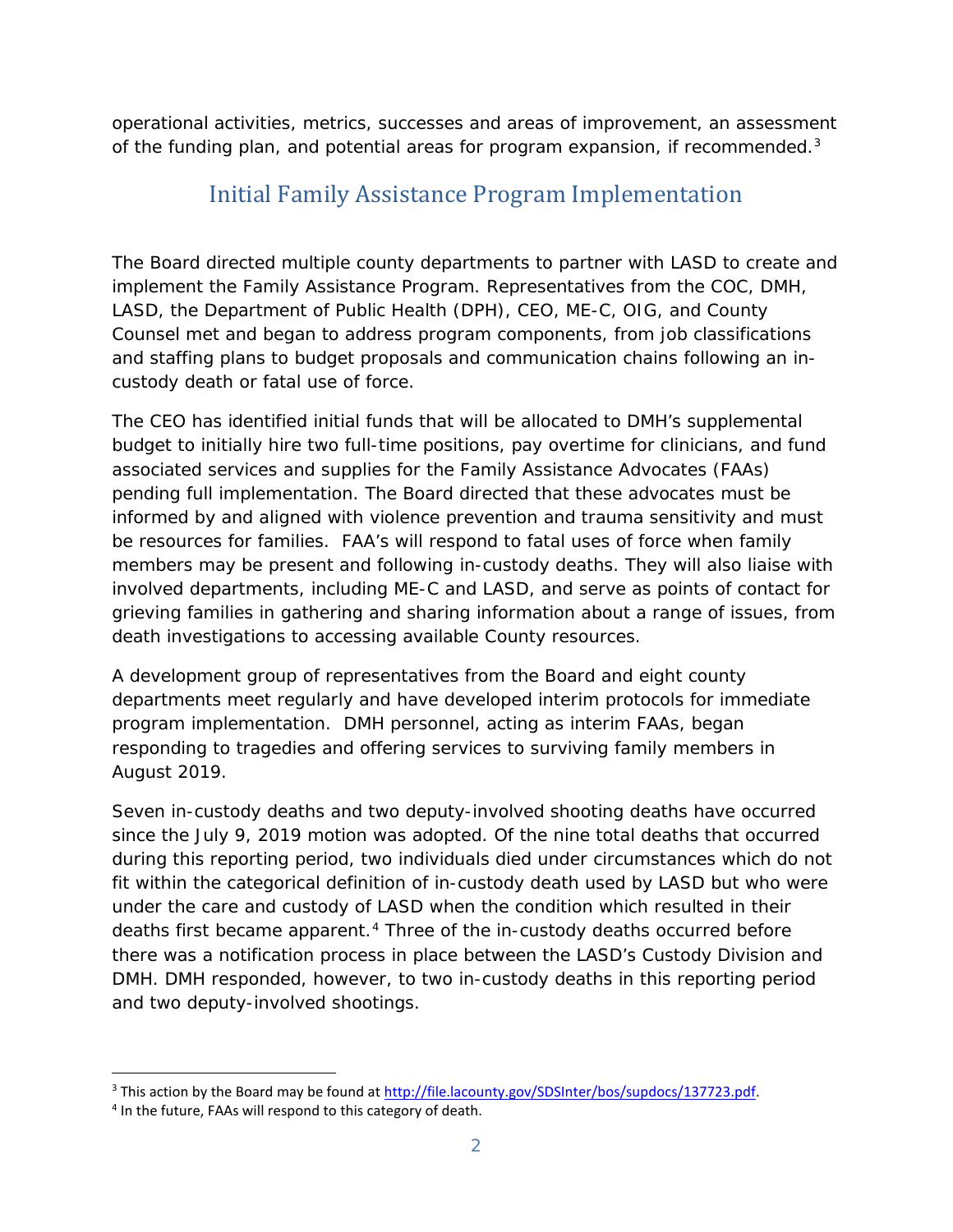operational activities, metrics, successes and areas of improvement, an assessment of the funding plan, and potential areas for program expansion, if recommended. $3$ 

## Initial Family Assistance Program Implementation

The Board directed multiple county departments to partner with LASD to create and implement the Family Assistance Program. Representatives from the COC, DMH, LASD, the Department of Public Health (DPH), CEO, ME-C, OIG, and County Counsel met and began to address program components, from job classifications and staffing plans to budget proposals and communication chains following an incustody death or fatal use of force.

The CEO has identified initial funds that will be allocated to DMH's supplemental budget to initially hire two full-time positions, pay overtime for clinicians, and fund associated services and supplies for the Family Assistance Advocates (FAAs) pending full implementation. The Board directed that these advocates must be informed by and aligned with violence prevention and trauma sensitivity and must be resources for families. FAA's will respond to fatal uses of force when family members may be present and following in-custody deaths. They will also liaise with involved departments, including ME-C and LASD, and serve as points of contact for grieving families in gathering and sharing information about a range of issues, from death investigations to accessing available County resources.

A development group of representatives from the Board and eight county departments meet regularly and have developed interim protocols for immediate program implementation. DMH personnel, acting as interim FAAs, began responding to tragedies and offering services to surviving family members in August 2019.

Seven in-custody deaths and two deputy-involved shooting deaths have occurred since the July 9, 2019 motion was adopted. Of the nine total deaths that occurred during this reporting period, two individuals died under circumstances which do not fit within the categorical definition of in-custody death used by LASD but who were under the care and custody of LASD when the condition which resulted in their deaths first became apparent.<sup>[4](#page-2-1)</sup> Three of the in-custody deaths occurred before there was a notification process in place between the LASD's Custody Division and DMH. DMH responded, however, to two in-custody deaths in this reporting period and two deputy-involved shootings.

<span id="page-2-0"></span>l <sup>3</sup> This action by the Board may be found at [http://file.lacounty.gov/SDSInter/bos/supdocs/137723.pdf.](http://file.lacounty.gov/SDSInter/bos/supdocs/137723.pdf)<br><sup>4</sup> In the future, FAAs will respond to this category of death.

<span id="page-2-1"></span>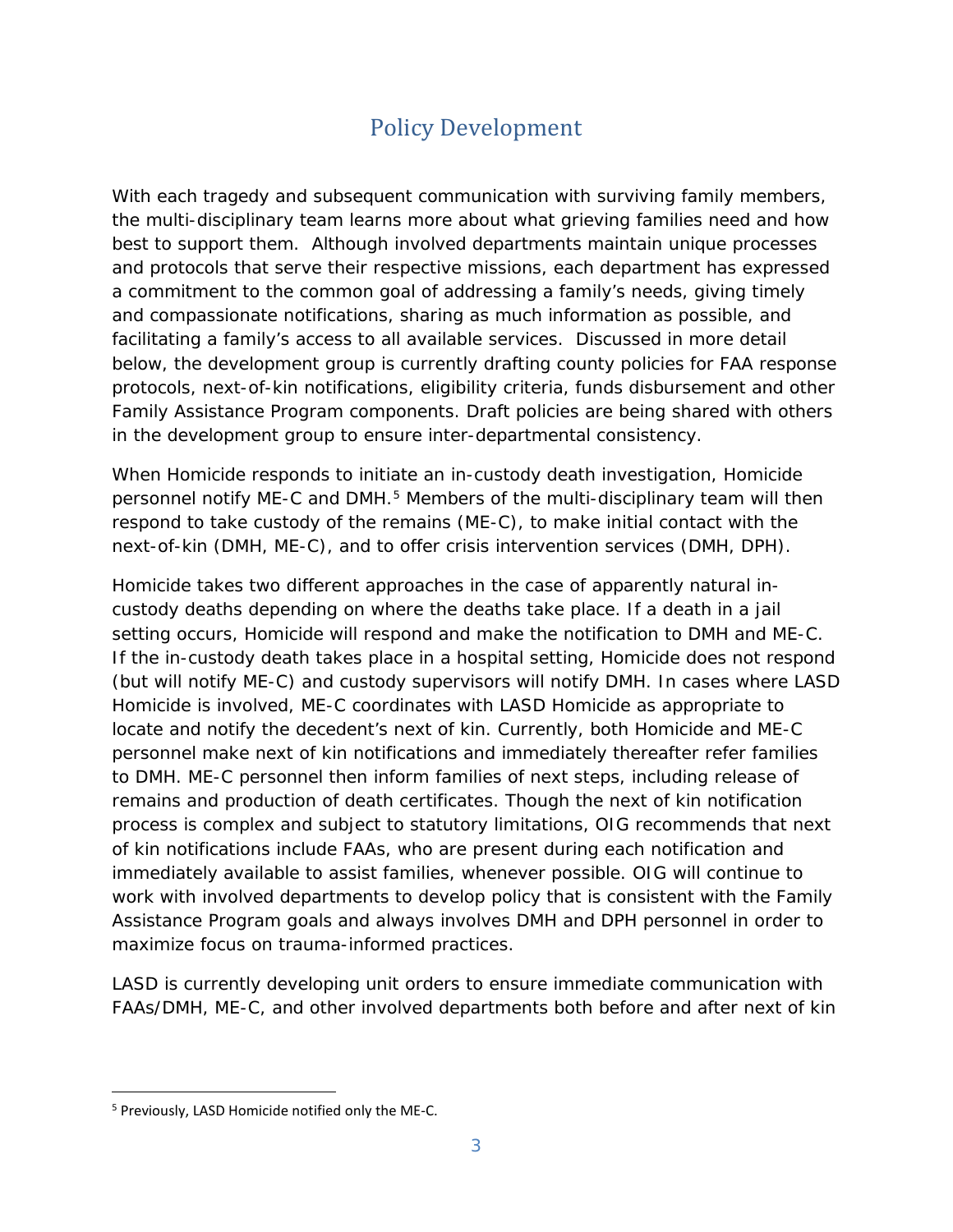## Policy Development

With each tragedy and subsequent communication with surviving family members, the multi-disciplinary team learns more about what grieving families need and how best to support them. Although involved departments maintain unique processes and protocols that serve their respective missions, each department has expressed a commitment to the common goal of addressing a family's needs, giving timely and compassionate notifications, sharing as much information as possible, and facilitating a family's access to all available services. Discussed in more detail below, the development group is currently drafting county policies for FAA response protocols, next-of-kin notifications, eligibility criteria, funds disbursement and other Family Assistance Program components. Draft policies are being shared with others in the development group to ensure inter-departmental consistency.

When Homicide responds to initiate an in-custody death investigation, Homicide personnel notify ME-C and DMH.<sup>[5](#page-3-0)</sup> Members of the multi-disciplinary team will then respond to take custody of the remains (ME-C), to make initial contact with the next-of-kin (DMH, ME-C), and to offer crisis intervention services (DMH, DPH).

Homicide takes two different approaches in the case of apparently natural incustody deaths depending on where the deaths take place. If a death in a jail setting occurs, Homicide will respond and make the notification to DMH and ME-C. If the in-custody death takes place in a hospital setting, Homicide does not respond (but will notify ME-C) and custody supervisors will notify DMH. In cases where LASD Homicide is involved, ME-C coordinates with LASD Homicide as appropriate to locate and notify the decedent's next of kin. Currently, both Homicide and ME-C personnel make next of kin notifications and immediately thereafter refer families to DMH. ME-C personnel then inform families of next steps, including release of remains and production of death certificates. Though the next of kin notification process is complex and subject to statutory limitations, OIG recommends that next of kin notifications include FAAs, who are present during each notification and immediately available to assist families, whenever possible. OIG will continue to work with involved departments to develop policy that is consistent with the Family Assistance Program goals and always involves DMH and DPH personnel in order to maximize focus on trauma-informed practices.

LASD is currently developing unit orders to ensure immediate communication with FAAs/DMH, ME-C, and other involved departments both before and after next of kin

<span id="page-3-0"></span><sup>1</sup> <sup>5</sup> Previously, LASD Homicide notified only the ME-C.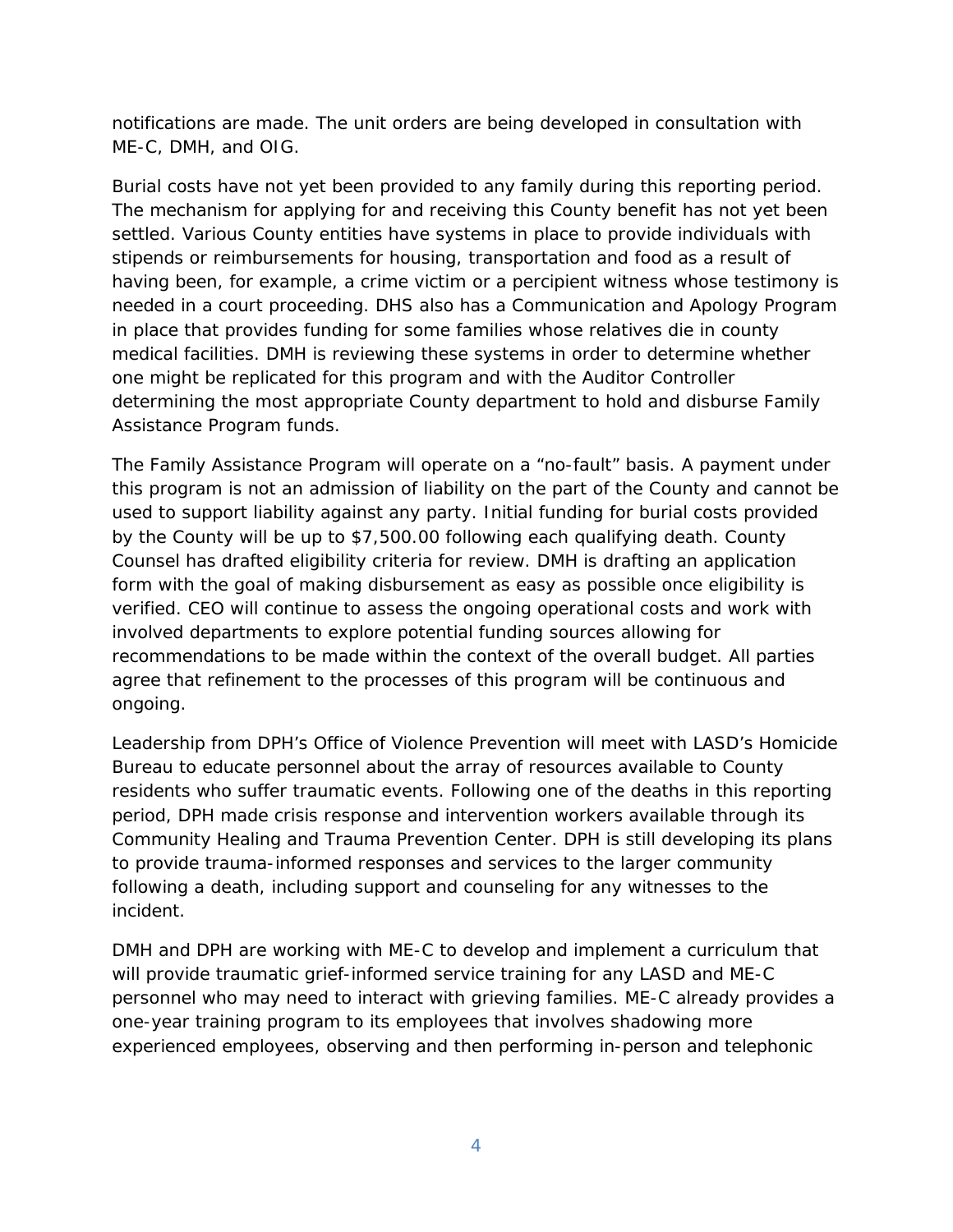notifications are made. The unit orders are being developed in consultation with ME-C, DMH, and OIG.

Burial costs have not yet been provided to any family during this reporting period. The mechanism for applying for and receiving this County benefit has not yet been settled. Various County entities have systems in place to provide individuals with stipends or reimbursements for housing, transportation and food as a result of having been, for example, a crime victim or a percipient witness whose testimony is needed in a court proceeding. DHS also has a Communication and Apology Program in place that provides funding for some families whose relatives die in county medical facilities. DMH is reviewing these systems in order to determine whether one might be replicated for this program and with the Auditor Controller determining the most appropriate County department to hold and disburse Family Assistance Program funds.

The Family Assistance Program will operate on a "no-fault" basis. A payment under this program is not an admission of liability on the part of the County and cannot be used to support liability against any party. Initial funding for burial costs provided by the County will be up to \$7,500.00 following each qualifying death. County Counsel has drafted eligibility criteria for review. DMH is drafting an application form with the goal of making disbursement as easy as possible once eligibility is verified. CEO will continue to assess the ongoing operational costs and work with involved departments to explore potential funding sources allowing for recommendations to be made within the context of the overall budget. All parties agree that refinement to the processes of this program will be continuous and ongoing.

Leadership from DPH's Office of Violence Prevention will meet with LASD's Homicide Bureau to educate personnel about the array of resources available to County residents who suffer traumatic events. Following one of the deaths in this reporting period, DPH made crisis response and intervention workers available through its Community Healing and Trauma Prevention Center. DPH is still developing its plans to provide trauma-informed responses and services to the larger community following a death, including support and counseling for any witnesses to the incident.

DMH and DPH are working with ME-C to develop and implement a curriculum that will provide traumatic grief-informed service training for any LASD and ME-C personnel who may need to interact with grieving families. ME-C already provides a one-year training program to its employees that involves shadowing more experienced employees, observing and then performing in-person and telephonic